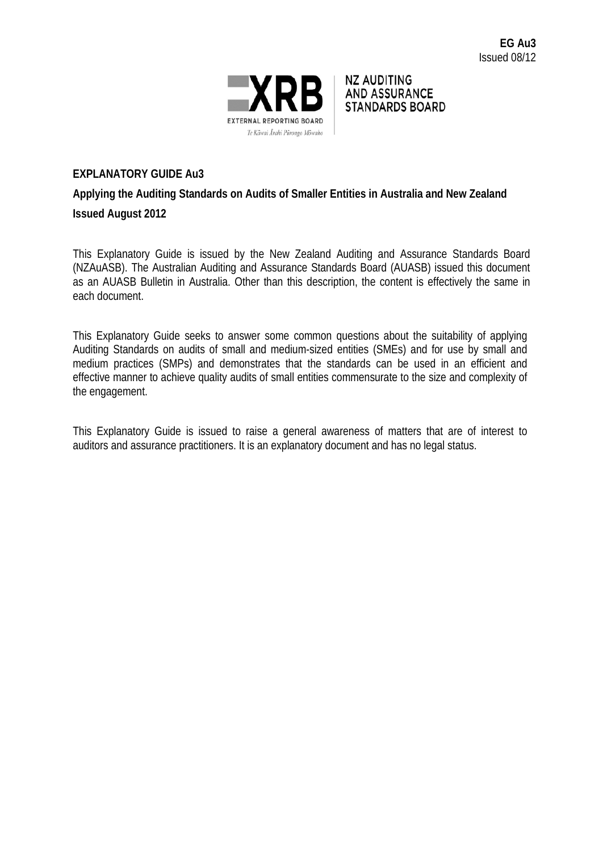

NZ AUDITING **AND ASSURANCE STANDARDS BOARD** 

### **EXPLANATORY GUIDE Au3**

# **Applying the Auditing Standards on Audits of Smaller Entities in Australia and New Zealand Issued August 2012**

This Explanatory Guide is issued by the New Zealand Auditing and Assurance Standards Board (NZAuASB). The Australian Auditing and Assurance Standards Board (AUASB) issued this document as an AUASB Bulletin in Australia. Other than this description, the content is effectively the same in each document.

This Explanatory Guide seeks to answer some common questions about the suitability of applying Auditing Standards on audits of small and medium-sized entities (SMEs) and for use by small and medium practices (SMPs) and demonstrates that the standards can be used in an efficient and effective manner to achieve quality audits of small entities commensurate to the size and complexity of the engagement.

This Explanatory Guide is issued to raise a general awareness of matters that are of interest to auditors and assurance practitioners. It is an explanatory document and has no legal status.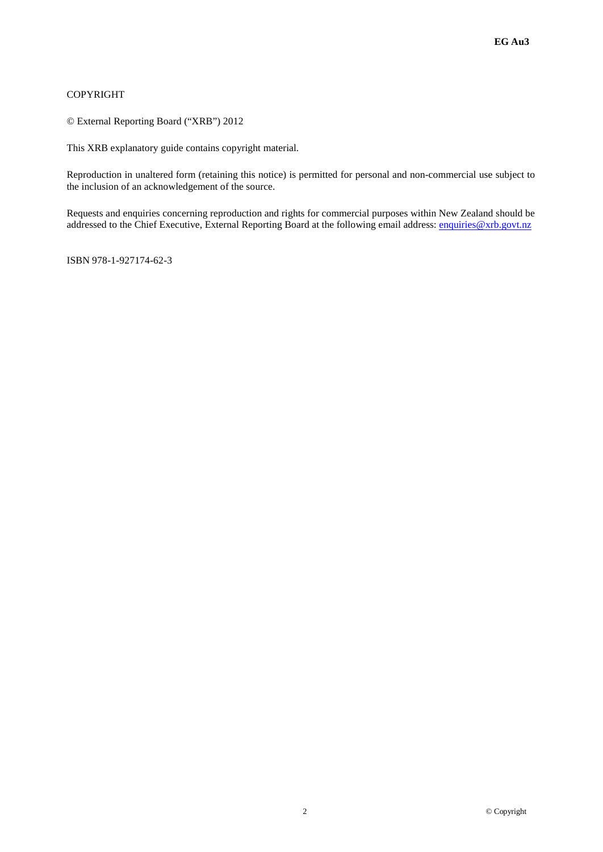#### COPYRIGHT

© External Reporting Board ("XRB") 2012

This XRB explanatory guide contains copyright material.

Reproduction in unaltered form (retaining this notice) is permitted for personal and non-commercial use subject to the inclusion of an acknowledgement of the source.

Requests and enquiries concerning reproduction and rights for commercial purposes within New Zealand should be addressed to the Chief Executive, External Reporting Board at the following email address: [enquiries@xrb.govt.nz](mailto:enquiries@xrb.govt.nz)

ISBN 978-1-927174-62-3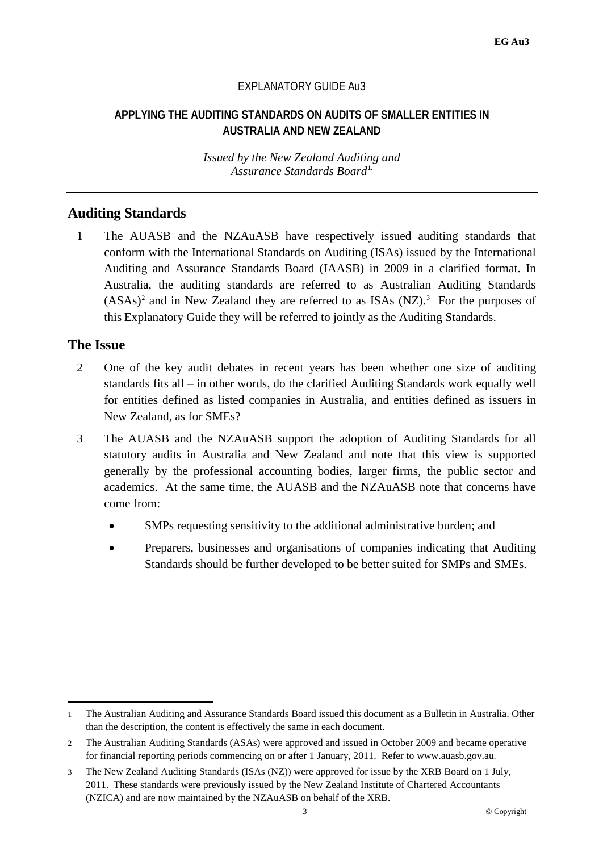#### EXPLANATORY GUIDE Au3

#### **APPLYING THE AUDITING STANDARDS ON AUDITS OF SMALLER ENTITIES IN AUSTRALIA AND NEW ZEALAND**

*Issued by the New Zealand Auditing and*  Assurance Standards Board<sup>[1](#page-2-0)</sup>

### **Auditing Standards**

1 The AUASB and the NZAuASB have respectively issued auditing standards that conform with the International Standards on Auditing (ISAs) issued by the International Auditing and Assurance Standards Board (IAASB) in 2009 in a clarified format. In Australia, the auditing standards are referred to as Australian Auditing Standards  $(ASAs)^2$  $(ASAs)^2$  and in New Zealand they are referred to as ISAs  $(NZ)$ .<sup>[3](#page-2-2)</sup> For the purposes of this Explanatory Guide they will be referred to jointly as the Auditing Standards.

#### **The Issue**

 $\overline{\phantom{a}}$ 

- 2 One of the key audit debates in recent years has been whether one size of auditing standards fits all – in other words, do the clarified Auditing Standards work equally well for entities defined as listed companies in Australia, and entities defined as issuers in New Zealand, as for SMEs?
- 3 The AUASB and the NZAuASB support the adoption of Auditing Standards for all statutory audits in Australia and New Zealand and note that this view is supported generally by the professional accounting bodies, larger firms, the public sector and academics. At the same time, the AUASB and the NZAuASB note that concerns have come from:
	- SMPs requesting sensitivity to the additional administrative burden; and
	- Preparers, businesses and organisations of companies indicating that Auditing Standards should be further developed to be better suited for SMPs and SMEs.

<span id="page-2-0"></span><sup>1</sup> The Australian Auditing and Assurance Standards Board issued this document as a Bulletin in Australia. Other than the description, the content is effectively the same in each document.

<span id="page-2-1"></span><sup>2</sup> The Australian Auditing Standards (ASAs) were approved and issued in October 2009 and became operative for financial reporting periods commencing on or after 1 January, 2011. Refer to [www.auasb.gov.au.](http://www.auasb.gov.au/Standards-and-Guidance/Australian-Auditing-Standards-in-Clarity-format.aspx)

<span id="page-2-2"></span><sup>3</sup> The New Zealand Auditing Standards (ISAs (NZ)) were approved for issue by the XRB Board on 1 July, 2011. These standards were previously issued by the New Zealand Institute of Chartered Accountants (NZICA) and are now maintained by the NZAuASB on behalf of the XRB.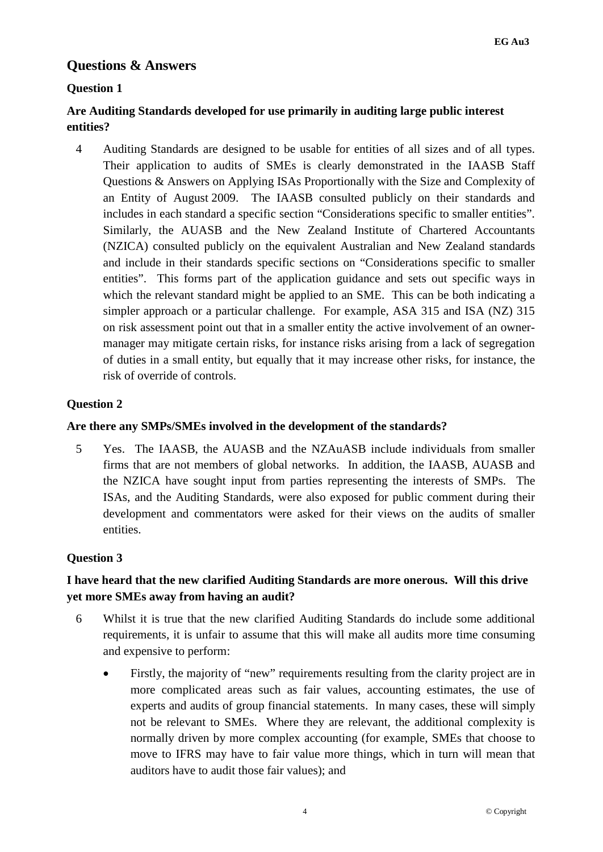#### **Questions & Answers**

#### **Question 1**

### **Are Auditing Standards developed for use primarily in auditing large public interest entities?**

4 Auditing Standards are designed to be usable for entities of all sizes and of all types. Their application to audits of SMEs is clearly demonstrated in the IAASB Staff Questions & Answers on Applying ISAs Proportionally with the Size and Complexity of an Entity of August 2009. The IAASB consulted publicly on their standards and includes in each standard a specific section "Considerations specific to smaller entities". Similarly, the AUASB and the New Zealand Institute of Chartered Accountants (NZICA) consulted publicly on the equivalent Australian and New Zealand standards and include in their standards specific sections on "Considerations specific to smaller entities". This forms part of the application guidance and sets out specific ways in which the relevant standard might be applied to an SME. This can be both indicating a simpler approach or a particular challenge. For example, ASA 315 and ISA (NZ) 315 on risk assessment point out that in a smaller entity the active involvement of an ownermanager may mitigate certain risks, for instance risks arising from a lack of segregation of duties in a small entity, but equally that it may increase other risks, for instance, the risk of override of controls.

#### **Question 2**

#### **Are there any SMPs/SMEs involved in the development of the standards?**

5 Yes. The IAASB, the AUASB and the NZAuASB include individuals from smaller firms that are not members of global networks. In addition, the IAASB, AUASB and the NZICA have sought input from parties representing the interests of SMPs. The ISAs, and the Auditing Standards, were also exposed for public comment during their development and commentators were asked for their views on the audits of smaller entities.

#### **Question 3**

### **I have heard that the new clarified Auditing Standards are more onerous. Will this drive yet more SMEs away from having an audit?**

- 6 Whilst it is true that the new clarified Auditing Standards do include some additional requirements, it is unfair to assume that this will make all audits more time consuming and expensive to perform:
	- Firstly, the majority of "new" requirements resulting from the clarity project are in more complicated areas such as fair values, accounting estimates, the use of experts and audits of group financial statements. In many cases, these will simply not be relevant to SMEs. Where they are relevant, the additional complexity is normally driven by more complex accounting (for example, SMEs that choose to move to IFRS may have to fair value more things, which in turn will mean that auditors have to audit those fair values); and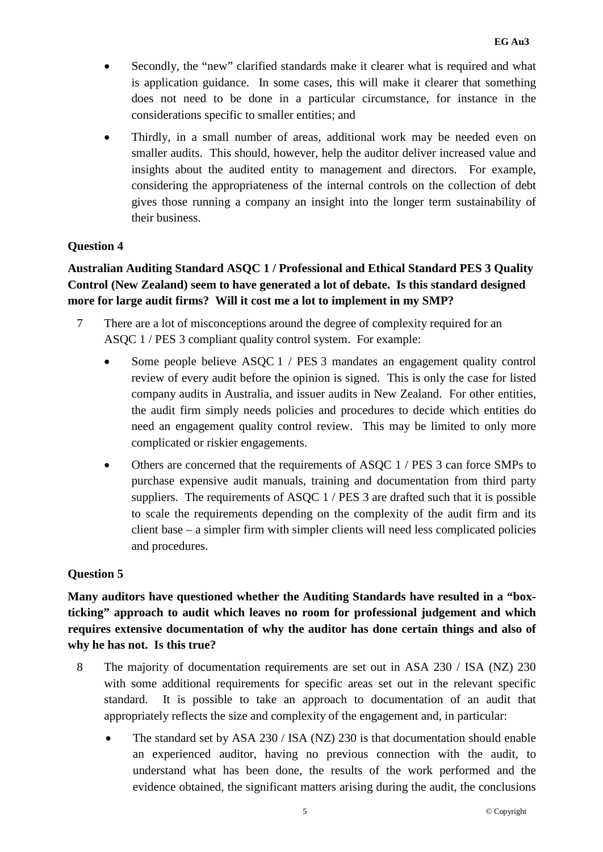- Secondly, the "new" clarified standards make it clearer what is required and what is application guidance. In some cases, this will make it clearer that something does not need to be done in a particular circumstance, for instance in the considerations specific to smaller entities; and
- Thirdly, in a small number of areas, additional work may be needed even on smaller audits. This should, however, help the auditor deliver increased value and insights about the audited entity to management and directors. For example, considering the appropriateness of the internal controls on the collection of debt gives those running a company an insight into the longer term sustainability of their business.

#### **Question 4**

## **Australian Auditing Standard ASQC 1 / Professional and Ethical Standard PES 3 Quality Control (New Zealand) seem to have generated a lot of debate. Is this standard designed more for large audit firms? Will it cost me a lot to implement in my SMP?**

- 7 There are a lot of misconceptions around the degree of complexity required for an ASQC 1 / PES 3 compliant quality control system. For example:
	- Some people believe ASQC 1 / PES 3 mandates an engagement quality control review of every audit before the opinion is signed. This is only the case for listed company audits in Australia, and issuer audits in New Zealand. For other entities, the audit firm simply needs policies and procedures to decide which entities do need an engagement quality control review. This may be limited to only more complicated or riskier engagements.
	- Others are concerned that the requirements of ASQC 1 / PES 3 can force SMPs to purchase expensive audit manuals, training and documentation from third party suppliers. The requirements of ASQC 1 / PES 3 are drafted such that it is possible to scale the requirements depending on the complexity of the audit firm and its client base – a simpler firm with simpler clients will need less complicated policies and procedures.

#### **Question 5**

**Many auditors have questioned whether the Auditing Standards have resulted in a "boxticking" approach to audit which leaves no room for professional judgement and which requires extensive documentation of why the auditor has done certain things and also of why he has not. Is this true?**

- 8 The majority of documentation requirements are set out in ASA 230 / ISA (NZ) 230 with some additional requirements for specific areas set out in the relevant specific standard. It is possible to take an approach to documentation of an audit that appropriately reflects the size and complexity of the engagement and, in particular:
	- The standard set by ASA  $230 /$  ISA (NZ)  $230$  is that documentation should enable an experienced auditor, having no previous connection with the audit, to understand what has been done, the results of the work performed and the evidence obtained, the significant matters arising during the audit, the conclusions